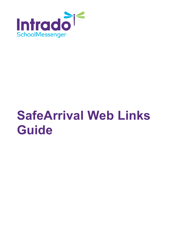

# **SafeArrival Web Links Guide**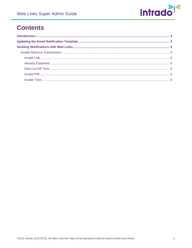

# **Contents**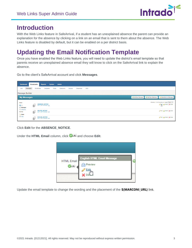

# <span id="page-2-0"></span>**Introduction**

With the Web Links feature in SafeArrival, if a student has an unexplained absence the parent can provide an explanation for the absence by clicking on a link on an email that is sent to them about the absence. The Web Links feature is disabled by default, but it can be enabled on a per district basis.

# <span id="page-2-1"></span>**Updating the Email Notification Template**

Once you have enabled the Web Links feature, you will need to update the district's email template so that parents receive an unexplained absence email they will know to click on the SafeArrival link to explain the absence.

Go to the client's SafeArrival account and click **Messages**.

| <b>Dashboard</b>                          | <b>Admin</b><br><b>Broadcasts</b><br><b>Reports</b><br>System                       |                                                                                           |  |  |  |
|-------------------------------------------|-------------------------------------------------------------------------------------|-------------------------------------------------------------------------------------------|--|--|--|
| Lists<br>Messages                         | SDD<br><b>Broadcasts</b><br>Templates<br>Posts<br>Classroom<br>Responses<br>Surveys |                                                                                           |  |  |  |
| Message Builder                           |                                                                                     |                                                                                           |  |  |  |
| My Messages                               |                                                                                     | Add New Message<br>Add New Stationery<br>Subscribe to a Message                           |  |  |  |
| Views:<br><b>O</b> All<br><b>Messages</b> | <b>ABSENCE NOTICE</b><br>Ю.<br>Jul 11, 2017 10:54 am - [32]                         | Showing 1 - 5 of 5 records on 1 pages Page 1 $\times$<br><b>Edit</b> & Publish   X Delete |  |  |  |
| Stationery<br>Sort By:<br>Name            | <b>DELETE NOTICE</b><br>Jul 11, 2017 10:56 am - [52]                                | Edit   & Publish   X Delete                                                               |  |  |  |
| <b>D</b> Date                             | <b>EXCUSE NOTICE</b><br>Jul 11, 2017 10:59 am - [52]                                | Edit   Publish   X Delete                                                                 |  |  |  |

Click **Edit** for the **ABSENCE\_NOTICE**.

Under the HTML Email column, click **and choose Edit.** 



Update the email template to change the wording and the placement of the **\${MARCONI\_URL}** link.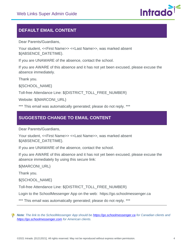

## **DEFAULT EMAIL CONTENT**

Dear Parents/Guardians,

Your student, <<First Name>> <<Last Name>>, was marked absent \${ABSENCE\_DATETIME}.

If you are UNAWARE of the absence, contact the school.

If you are AWARE of this absence and it has not yet been excused, please excuse the absence immediately.

Thank you.

\${SCHOOL\_NAME}

Toll-free Attendance Line: \${DISTRICT\_TOLL\_FREE\_NUMBER}

Website: \${MARCONI\_URL}

\*\*\* This email was automatically generated; please do not reply. \*\*\*

## **SUGGESTED CHANGE TO EMAIL CONTENT**

Dear Parents/Guardians,

Your student, <<First Name>> <<Last Name>>, was marked absent \${ABSENCE\_DATETIME}.

If you are UNAWARE of the absence, contact the school.

If you are AWARE of this absence and it has not yet been excused, please excuse the absence immediately by using this secure link:

\${MARCONI\_URL}

Thank you.

\${SCHOOL\_NAME}

Toll-free Attendance Line: \${DISTRICT\_TOLL\_FREE\_NUMBER}

Login to the SchoolMessenger App on the web: https://go.schoolmessenger.ca

\*\*\* This email was automatically generated; please do not reply. \*\*\*

*Note: The link to the SchoolMessenger App should be [https://go.schoolmessenger.ca](https://go.schoolmessenger.ca/) for Canadian clients and [https://go.schoolmessenger.com](https://go.schoolmessenger.com/) for American clients.*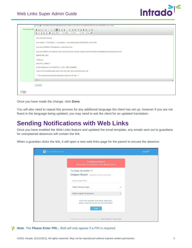

| Email Message | Click @ in the toolbar below to add attachments. Please note: links to your attached files are now embedded in your email.<br><b>@@Source ◆ → E E E E E E # # @ \$ @ @ @ </b><br>$\equiv$<br><b>SO 55</b> |                                                       |  |  |  |
|---------------|-----------------------------------------------------------------------------------------------------------------------------------------------------------------------------------------------------------|-------------------------------------------------------|--|--|--|
|               | <b>B</b> $I \cup S \cup A$ <b><math>I_x</math></b> Styles<br>v Normal v Font<br>$\cdot$ Size $\cdot$ $\omega$                                                                                             | $\begin{array}{c} \boxed{\blacktriangle} \end{array}$ |  |  |  |
|               | Dear Parents/Guardians,                                                                                                                                                                                   |                                                       |  |  |  |
|               | Your student, < <first name="">&gt; &lt;<last name="">&gt;, was marked absent \${ABSENCE_DATETIME}.</last></first>                                                                                        |                                                       |  |  |  |
|               | If you are UNAWARE of the absence, contact the school.                                                                                                                                                    |                                                       |  |  |  |
|               | If you are AWARE of this absence, and it has not yet been excused, please excuse the absence immediately by using this secure link:                                                                       |                                                       |  |  |  |
|               | \${MARCONI_URL}                                                                                                                                                                                           |                                                       |  |  |  |
|               | Thank you.                                                                                                                                                                                                |                                                       |  |  |  |
|               | \${SCHOOL_NAME} T                                                                                                                                                                                         |                                                       |  |  |  |
|               | oll-free Attendance Line: \${DISTRICT_TOLL_FREE_NUMBER}                                                                                                                                                   |                                                       |  |  |  |
|               | Login to the SchoolMessenger App on the web: https://go.schoolmessenger.com                                                                                                                               |                                                       |  |  |  |
|               | *** This email was automatically generated; please do not reply. ***                                                                                                                                      |                                                       |  |  |  |
|               | body p                                                                                                                                                                                                    |                                                       |  |  |  |
|               | Preview                                                                                                                                                                                                   |                                                       |  |  |  |
|               |                                                                                                                                                                                                           |                                                       |  |  |  |

Once you have made the change, click **Done**.

You will also need to repeat this process for any additional language the client has set up, however if you are not fluent in the language being updated, you may need to ask the client for an updated translation.

# <span id="page-4-0"></span>**Sending Notifications with Web Links**

Once you have enabled the Web Links feature and updated the email template, any emails sent out to guardians for unexplained absences will contain the link.

When a guardian clicks the link, it will open a new web links page for the parent to excuse the absence.

| SCHOOLMESSENGER® |                                                                                                         | Intrado <sup>1</sup> |
|------------------|---------------------------------------------------------------------------------------------------------|----------------------|
|                  | <b>Unexplained Absence</b><br>Please provide an explaination for the following absence                  |                      |
|                  | Thursday, December 17<br>Gregory Bryant - Burlington Central Elementary                                 |                      |
|                  | Please Enter PIN                                                                                        |                      |
|                  | Select absence type                                                                                     |                      |
|                  | Select reason for absence                                                                               |                      |
|                  | If you were unaware of the above absence(s),<br>please contact the school for more information.<br>Send |                      |
|                  | @2020 Intrado Corporation. All Rights Reserved.   Terms of Service   Privacy Policy                     |                      |

*Note: The Please Enter PIN... field will only appear if a PIN is required.*